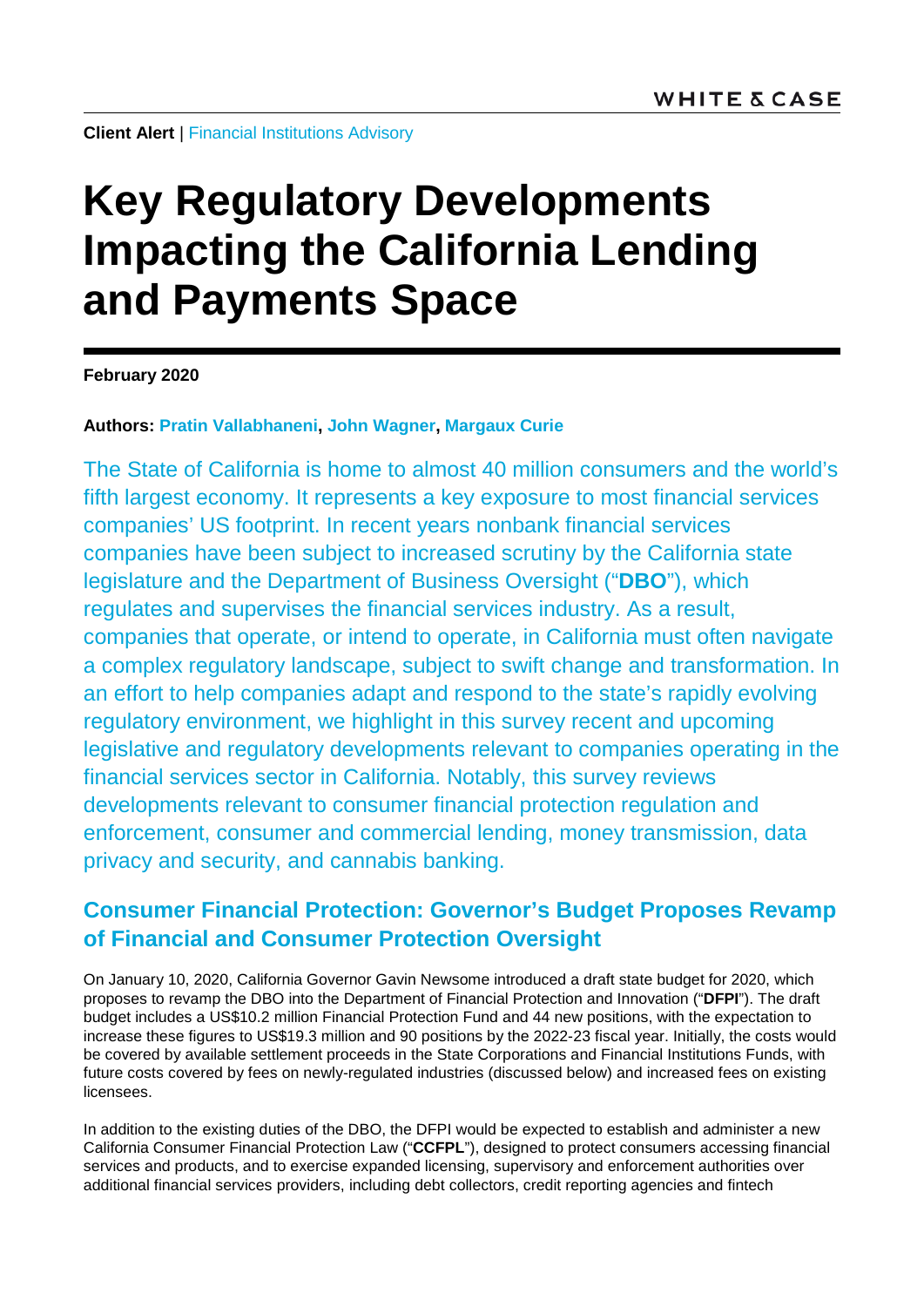**Client Alert** | [Financial Institutions Advisory](https://www.whitecase.com/law/practices/financial-institutions-advisory)

# **Key Regulatory Developments Impacting the California Lending and Payments Space**

**February 2020**

### **Authors: [Pratin Vallabhaneni,](https://www.whitecase.com/people/pratin-vallabhaneni) [John Wagner,](https://www.whitecase.com/people/john-wagner) [Margaux Curie](https://www.whitecase.com/people/margaux-curie)**

The State of California is home to almost 40 million consumers and the world's fifth largest economy. It represents a key exposure to most financial services companies' US footprint. In recent years nonbank financial services companies have been subject to increased scrutiny by the California state legislature and the Department of Business Oversight ("**DBO**"), which regulates and supervises the financial services industry. As a result, companies that operate, or intend to operate, in California must often navigate a complex regulatory landscape, subject to swift change and transformation. In an effort to help companies adapt and respond to the state's rapidly evolving regulatory environment, we highlight in this survey recent and upcoming legislative and regulatory developments relevant to companies operating in the financial services sector in California. Notably, this survey reviews developments relevant to consumer financial protection regulation and enforcement, consumer and commercial lending, money transmission, data privacy and security, and cannabis banking.

### **Consumer Financial Protection: Governor's Budget Proposes Revamp of Financial and Consumer Protection Oversight**

On January 10, 2020, California Governor Gavin Newsome introduced a draft state budget for 2020, which proposes to revamp the DBO into the Department of Financial Protection and Innovation ("**DFPI**"). The draft budget includes a US\$10.2 million Financial Protection Fund and 44 new positions, with the expectation to increase these figures to US\$19.3 million and 90 positions by the 2022-23 fiscal year. Initially, the costs would be covered by available settlement proceeds in the State Corporations and Financial Institutions Funds, with future costs covered by fees on newly-regulated industries (discussed below) and increased fees on existing licensees.

In addition to the existing duties of the DBO, the DFPI would be expected to establish and administer a new California Consumer Financial Protection Law ("**CCFPL**"), designed to protect consumers accessing financial services and products, and to exercise expanded licensing, supervisory and enforcement authorities over additional financial services providers, including debt collectors, credit reporting agencies and fintech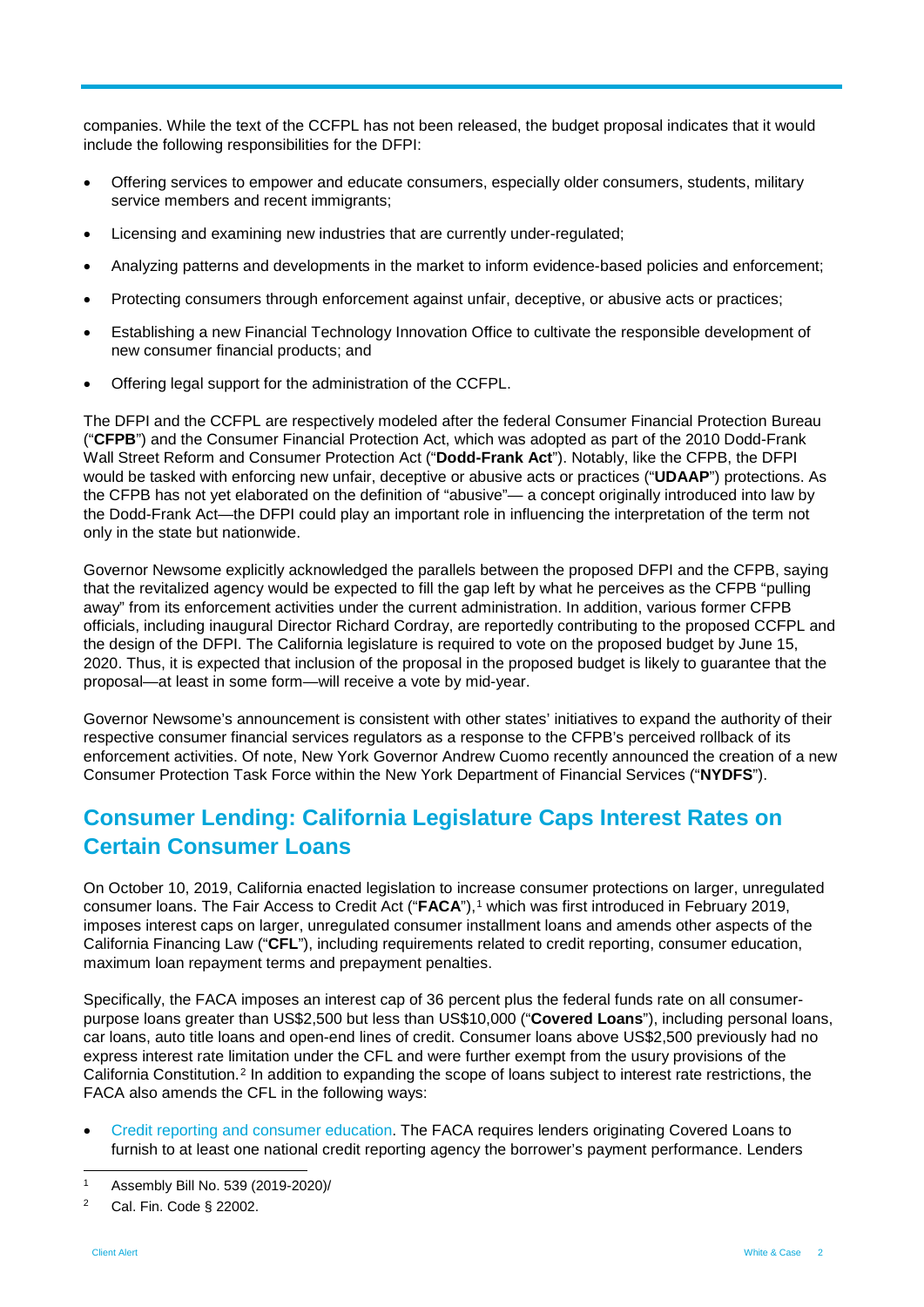companies. While the text of the CCFPL has not been released, the budget proposal indicates that it would include the following responsibilities for the DFPI:

- Offering services to empower and educate consumers, especially older consumers, students, military service members and recent immigrants;
- Licensing and examining new industries that are currently under-regulated;
- Analyzing patterns and developments in the market to inform evidence-based policies and enforcement;
- Protecting consumers through enforcement against unfair, deceptive, or abusive acts or practices;
- Establishing a new Financial Technology Innovation Office to cultivate the responsible development of new consumer financial products; and
- Offering legal support for the administration of the CCFPL.

The DFPI and the CCFPL are respectively modeled after the federal Consumer Financial Protection Bureau ("**CFPB**") and the Consumer Financial Protection Act, which was adopted as part of the 2010 Dodd-Frank Wall Street Reform and Consumer Protection Act ("**Dodd-Frank Act**"). Notably, like the CFPB, the DFPI would be tasked with enforcing new unfair, deceptive or abusive acts or practices ("**UDAAP**") protections. As the CFPB has not yet elaborated on the definition of "abusive"— a concept originally introduced into law by the Dodd-Frank Act—the DFPI could play an important role in influencing the interpretation of the term not only in the state but nationwide.

Governor Newsome explicitly acknowledged the parallels between the proposed DFPI and the CFPB, saying that the revitalized agency would be expected to fill the gap left by what he perceives as the CFPB "pulling away" from its enforcement activities under the current administration. In addition, various former CFPB officials, including inaugural Director Richard Cordray, are reportedly contributing to the proposed CCFPL and the design of the DFPI. The California legislature is required to vote on the proposed budget by June 15, 2020. Thus, it is expected that inclusion of the proposal in the proposed budget is likely to guarantee that the proposal—at least in some form—will receive a vote by mid-year.

Governor Newsome's announcement is consistent with other states' initiatives to expand the authority of their respective consumer financial services regulators as a response to the CFPB's perceived rollback of its enforcement activities. Of note, New York Governor Andrew Cuomo recently announced the creation of a new Consumer Protection Task Force within the New York Department of Financial Services ("**NYDFS**").

### **Consumer Lending: California Legislature Caps Interest Rates on Certain Consumer Loans**

On October 10, 2019, California enacted legislation to increase consumer protections on larger, unregulated consumer loans. The Fair Access to Credit Act ("FACA"),<sup>[1](#page-1-0)</sup> which was first introduced in February 2019, imposes interest caps on larger, unregulated consumer installment loans and amends other aspects of the California Financing Law ("**CFL**"), including requirements related to credit reporting, consumer education, maximum loan repayment terms and prepayment penalties.

Specifically, the FACA imposes an interest cap of 36 percent plus the federal funds rate on all consumerpurpose loans greater than US\$2,500 but less than US\$10,000 ("**Covered Loans**"), including personal loans, car loans, auto title loans and open-end lines of credit. Consumer loans above US\$2,500 previously had no express interest rate limitation under the CFL and were further exempt from the usury provisions of the California Constitution.[2](#page-1-1) In addition to expanding the scope of loans subject to interest rate restrictions, the FACA also amends the CFL in the following ways:

• Credit reporting and consumer education. The FACA requires lenders originating Covered Loans to furnish to at least one national credit reporting agency the borrower's payment performance. Lenders

<span id="page-1-0"></span> <sup>1</sup> Assembly Bill No. 539 (2019-2020)/

<span id="page-1-1"></span><sup>2</sup> Cal. Fin. Code § 22002.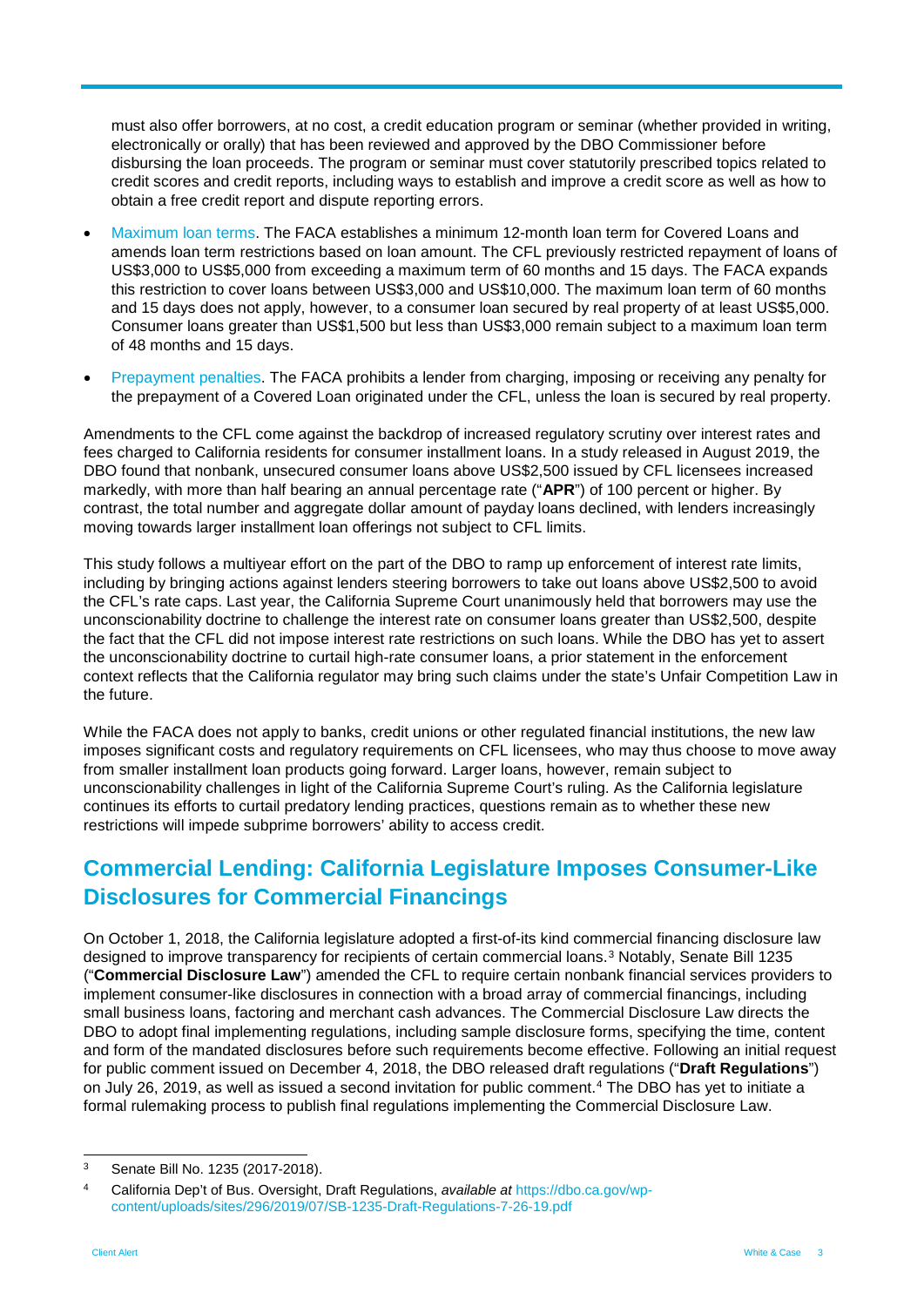must also offer borrowers, at no cost, a credit education program or seminar (whether provided in writing, electronically or orally) that has been reviewed and approved by the DBO Commissioner before disbursing the loan proceeds. The program or seminar must cover statutorily prescribed topics related to credit scores and credit reports, including ways to establish and improve a credit score as well as how to obtain a free credit report and dispute reporting errors.

- Maximum loan terms. The FACA establishes a minimum 12-month loan term for Covered Loans and amends loan term restrictions based on loan amount. The CFL previously restricted repayment of loans of US\$3,000 to US\$5,000 from exceeding a maximum term of 60 months and 15 days. The FACA expands this restriction to cover loans between US\$3,000 and US\$10,000. The maximum loan term of 60 months and 15 days does not apply, however, to a consumer loan secured by real property of at least US\$5,000. Consumer loans greater than US\$1,500 but less than US\$3,000 remain subject to a maximum loan term of 48 months and 15 days.
- Prepayment penalties. The FACA prohibits a lender from charging, imposing or receiving any penalty for the prepayment of a Covered Loan originated under the CFL, unless the loan is secured by real property.

Amendments to the CFL come against the backdrop of increased regulatory scrutiny over interest rates and fees charged to California residents for consumer installment loans. In a study released in August 2019, the DBO found that nonbank, unsecured consumer loans above US\$2,500 issued by CFL licensees increased markedly, with more than half bearing an annual percentage rate ("**APR**") of 100 percent or higher. By contrast, the total number and aggregate dollar amount of payday loans declined, with lenders increasingly moving towards larger installment loan offerings not subject to CFL limits.

This study follows a multiyear effort on the part of the DBO to ramp up enforcement of interest rate limits, including by bringing actions against lenders steering borrowers to take out loans above US\$2,500 to avoid the CFL's rate caps. Last year, the California Supreme Court unanimously held that borrowers may use the unconscionability doctrine to challenge the interest rate on consumer loans greater than US\$2,500, despite the fact that the CFL did not impose interest rate restrictions on such loans. While the DBO has yet to assert the unconscionability doctrine to curtail high-rate consumer loans, a prior statement in the enforcement context reflects that the California regulator may bring such claims under the state's Unfair Competition Law in the future.

While the FACA does not apply to banks, credit unions or other regulated financial institutions, the new law imposes significant costs and regulatory requirements on CFL licensees, who may thus choose to move away from smaller installment loan products going forward. Larger loans, however, remain subject to unconscionability challenges in light of the California Supreme Court's ruling. As the California legislature continues its efforts to curtail predatory lending practices, questions remain as to whether these new restrictions will impede subprime borrowers' ability to access credit.

### **Commercial Lending: California Legislature Imposes Consumer-Like Disclosures for Commercial Financings**

On October 1, 2018, the California legislature adopted a first-of-its kind commercial financing disclosure law designed to improve transparency for recipients of certain commercial loans.[3](#page-2-0) Notably, Senate Bill 1235 ("**Commercial Disclosure Law**") amended the CFL to require certain nonbank financial services providers to implement consumer-like disclosures in connection with a broad array of commercial financings, including small business loans, factoring and merchant cash advances. The Commercial Disclosure Law directs the DBO to adopt final implementing regulations, including sample disclosure forms, specifying the time, content and form of the mandated disclosures before such requirements become effective. Following an initial request for public comment issued on December 4, 2018, the DBO released draft regulations ("**Draft Regulations**") on July 26, 2019, as well as issued a second invitation for public comment.[4](#page-2-1) The DBO has yet to initiate a formal rulemaking process to publish final regulations implementing the Commercial Disclosure Law.

<span id="page-2-0"></span> <sup>3</sup> Senate Bill No. 1235 (2017-2018).

<span id="page-2-1"></span><sup>4</sup> California Dep't of Bus. Oversight, Draft Regulations, *available at* [https://dbo.ca.gov/wp](https://dbo.ca.gov/wp-content/uploads/sites/296/2019/07/SB-1235-Draft-Regulations-7-26-19.pdf)[content/uploads/sites/296/2019/07/SB-1235-Draft-Regulations-7-26-19.pdf](https://dbo.ca.gov/wp-content/uploads/sites/296/2019/07/SB-1235-Draft-Regulations-7-26-19.pdf)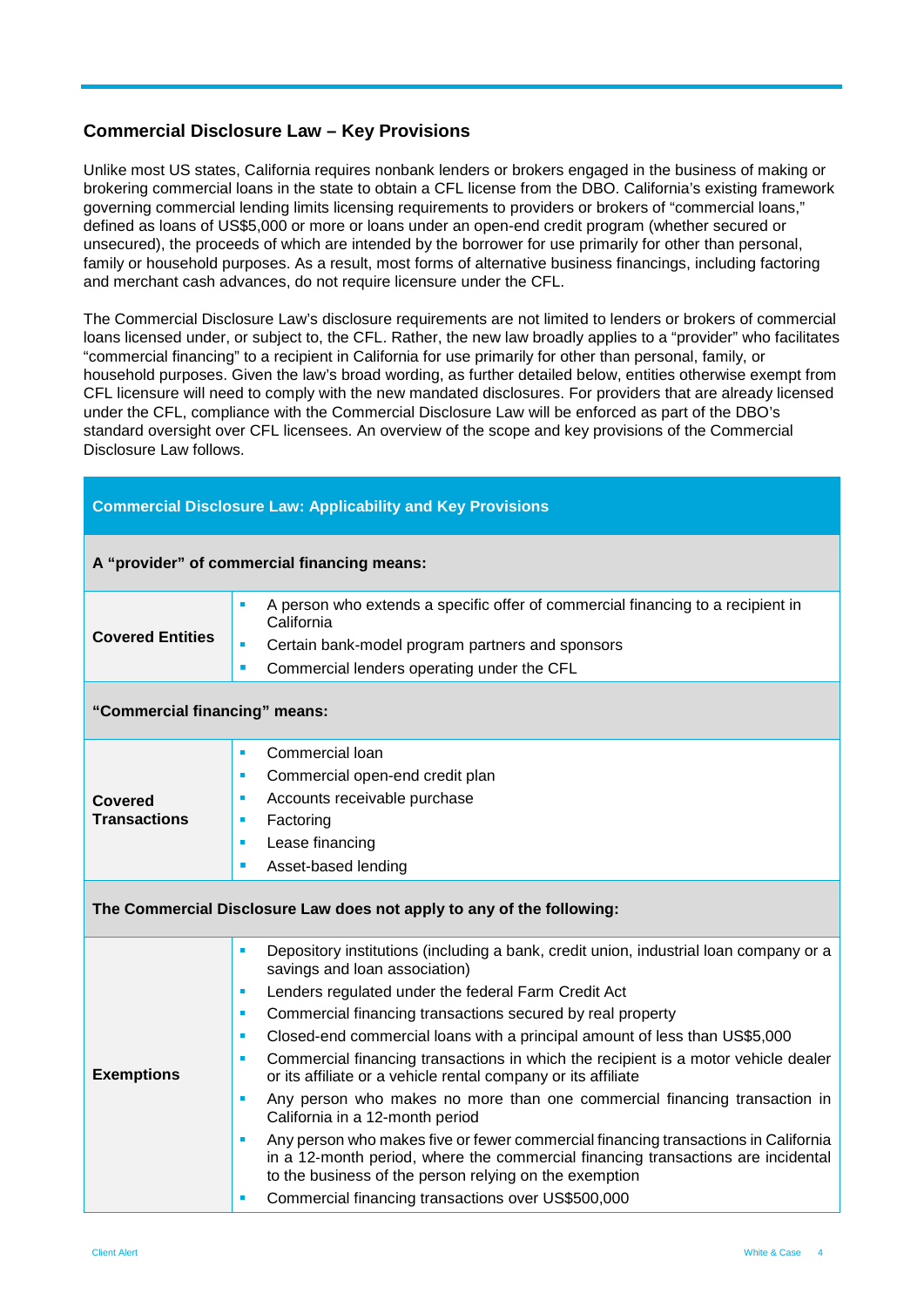#### **Commercial Disclosure Law – Key Provisions**

**Commercial Disclosure Law: Applicability and Key Provisions**

Unlike most US states, California requires nonbank lenders or brokers engaged in the business of making or brokering commercial loans in the state to obtain a CFL license from the DBO. California's existing framework governing commercial lending limits licensing requirements to providers or brokers of "commercial loans," defined as loans of US\$5,000 or more or loans under an open-end credit program (whether secured or unsecured), the proceeds of which are intended by the borrower for use primarily for other than personal, family or household purposes. As a result, most forms of alternative business financings, including factoring and merchant cash advances, do not require licensure under the CFL.

The Commercial Disclosure Law's disclosure requirements are not limited to lenders or brokers of commercial loans licensed under, or subject to, the CFL. Rather, the new law broadly applies to a "provider" who facilitates "commercial financing" to a recipient in California for use primarily for other than personal, family, or household purposes. Given the law's broad wording, as further detailed below, entities otherwise exempt from CFL licensure will need to comply with the new mandated disclosures. For providers that are already licensed under the CFL, compliance with the Commercial Disclosure Law will be enforced as part of the DBO's standard oversight over CFL licensees. An overview of the scope and key provisions of the Commercial Disclosure Law follows.

| A "provider" of commercial financing means: |                                                                                                                                                                                                                                                                                                                                                                                                                                                                                                                                                                                                                                                                                                                                                                                                                                                                                                                                                         |  |  |  |  |
|---------------------------------------------|---------------------------------------------------------------------------------------------------------------------------------------------------------------------------------------------------------------------------------------------------------------------------------------------------------------------------------------------------------------------------------------------------------------------------------------------------------------------------------------------------------------------------------------------------------------------------------------------------------------------------------------------------------------------------------------------------------------------------------------------------------------------------------------------------------------------------------------------------------------------------------------------------------------------------------------------------------|--|--|--|--|
| <b>Covered Entities</b>                     | A person who extends a specific offer of commercial financing to a recipient in<br>٠<br>California<br>Certain bank-model program partners and sponsors<br>٠<br>Commercial lenders operating under the CFL<br>$\blacksquare$                                                                                                                                                                                                                                                                                                                                                                                                                                                                                                                                                                                                                                                                                                                             |  |  |  |  |
| "Commercial financing" means:               |                                                                                                                                                                                                                                                                                                                                                                                                                                                                                                                                                                                                                                                                                                                                                                                                                                                                                                                                                         |  |  |  |  |
| Covered<br><b>Transactions</b>              | Commercial loan<br>٠<br>Commercial open-end credit plan<br>٠<br>Accounts receivable purchase<br>٠<br>Factoring<br>٠<br>Lease financing<br>٠<br>Asset-based lending<br>$\blacksquare$                                                                                                                                                                                                                                                                                                                                                                                                                                                                                                                                                                                                                                                                                                                                                                    |  |  |  |  |
|                                             | The Commercial Disclosure Law does not apply to any of the following:                                                                                                                                                                                                                                                                                                                                                                                                                                                                                                                                                                                                                                                                                                                                                                                                                                                                                   |  |  |  |  |
| <b>Exemptions</b>                           | Depository institutions (including a bank, credit union, industrial loan company or a<br>$\blacksquare$<br>savings and loan association)<br>Lenders regulated under the federal Farm Credit Act<br>п<br>Commercial financing transactions secured by real property<br>٠<br>Closed-end commercial loans with a principal amount of less than US\$5,000<br>٠<br>Commercial financing transactions in which the recipient is a motor vehicle dealer<br>п<br>or its affiliate or a vehicle rental company or its affiliate<br>Any person who makes no more than one commercial financing transaction in<br>$\blacksquare$<br>California in a 12-month period<br>Any person who makes five or fewer commercial financing transactions in California<br>٠<br>in a 12-month period, where the commercial financing transactions are incidental<br>to the business of the person relying on the exemption<br>Commercial financing transactions over US\$500,000 |  |  |  |  |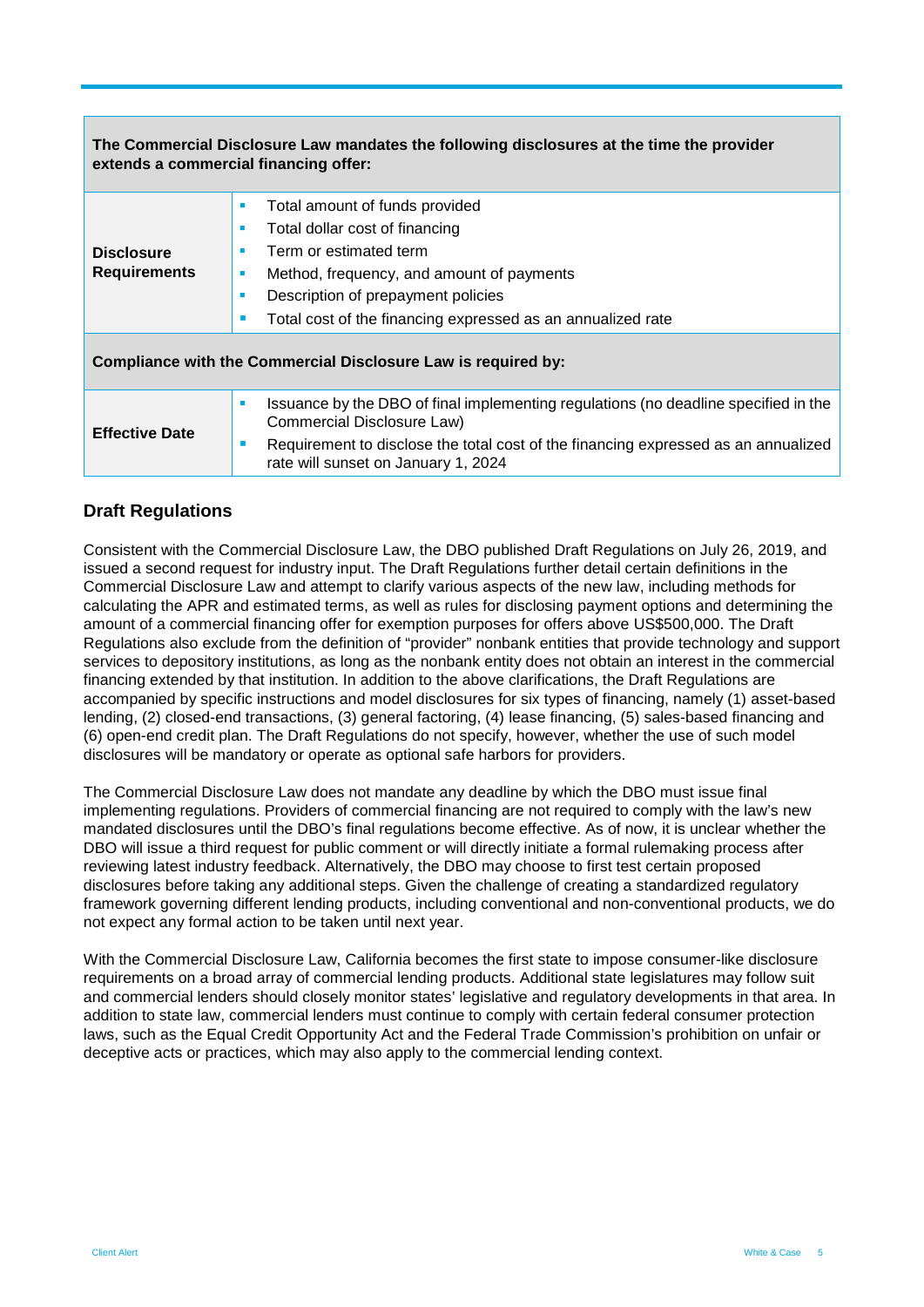| The Commercial Disclosure Law mandates the following disclosures at the time the provider<br>extends a commercial financing offer: |                                                                                                                                                                                                                                                                            |  |  |  |  |  |
|------------------------------------------------------------------------------------------------------------------------------------|----------------------------------------------------------------------------------------------------------------------------------------------------------------------------------------------------------------------------------------------------------------------------|--|--|--|--|--|
| <b>Disclosure</b><br><b>Requirements</b>                                                                                           | Total amount of funds provided<br>п<br>Total dollar cost of financing<br>×<br>Term or estimated term<br>п<br>Method, frequency, and amount of payments<br>ш<br>Description of prepayment policies<br>п<br>Total cost of the financing expressed as an annualized rate<br>п |  |  |  |  |  |
| Compliance with the Commercial Disclosure Law is required by:                                                                      |                                                                                                                                                                                                                                                                            |  |  |  |  |  |
| <b>Effective Date</b>                                                                                                              | Issuance by the DBO of final implementing regulations (no deadline specified in the<br>$\blacksquare$<br>Commercial Disclosure Law)<br>Requirement to disclose the total cost of the financing expressed as an annualized<br>ш<br>rate will sunset on January 1, 2024      |  |  |  |  |  |

#### **Draft Regulations**

Consistent with the Commercial Disclosure Law, the DBO published Draft Regulations on July 26, 2019, and issued a second request for industry input. The Draft Regulations further detail certain definitions in the Commercial Disclosure Law and attempt to clarify various aspects of the new law, including methods for calculating the APR and estimated terms, as well as rules for disclosing payment options and determining the amount of a commercial financing offer for exemption purposes for offers above US\$500,000. The Draft Regulations also exclude from the definition of "provider" nonbank entities that provide technology and support services to depository institutions, as long as the nonbank entity does not obtain an interest in the commercial financing extended by that institution. In addition to the above clarifications, the Draft Regulations are accompanied by specific instructions and model disclosures for six types of financing, namely (1) asset-based lending, (2) closed-end transactions, (3) general factoring, (4) lease financing, (5) sales-based financing and (6) open-end credit plan. The Draft Regulations do not specify, however, whether the use of such model disclosures will be mandatory or operate as optional safe harbors for providers.

The Commercial Disclosure Law does not mandate any deadline by which the DBO must issue final implementing regulations. Providers of commercial financing are not required to comply with the law's new mandated disclosures until the DBO's final regulations become effective. As of now, it is unclear whether the DBO will issue a third request for public comment or will directly initiate a formal rulemaking process after reviewing latest industry feedback. Alternatively, the DBO may choose to first test certain proposed disclosures before taking any additional steps. Given the challenge of creating a standardized regulatory framework governing different lending products, including conventional and non-conventional products, we do not expect any formal action to be taken until next year.

With the Commercial Disclosure Law, California becomes the first state to impose consumer-like disclosure requirements on a broad array of commercial lending products. Additional state legislatures may follow suit and commercial lenders should closely monitor states' legislative and regulatory developments in that area. In addition to state law, commercial lenders must continue to comply with certain federal consumer protection laws, such as the Equal Credit Opportunity Act and the Federal Trade Commission's prohibition on unfair or deceptive acts or practices, which may also apply to the commercial lending context.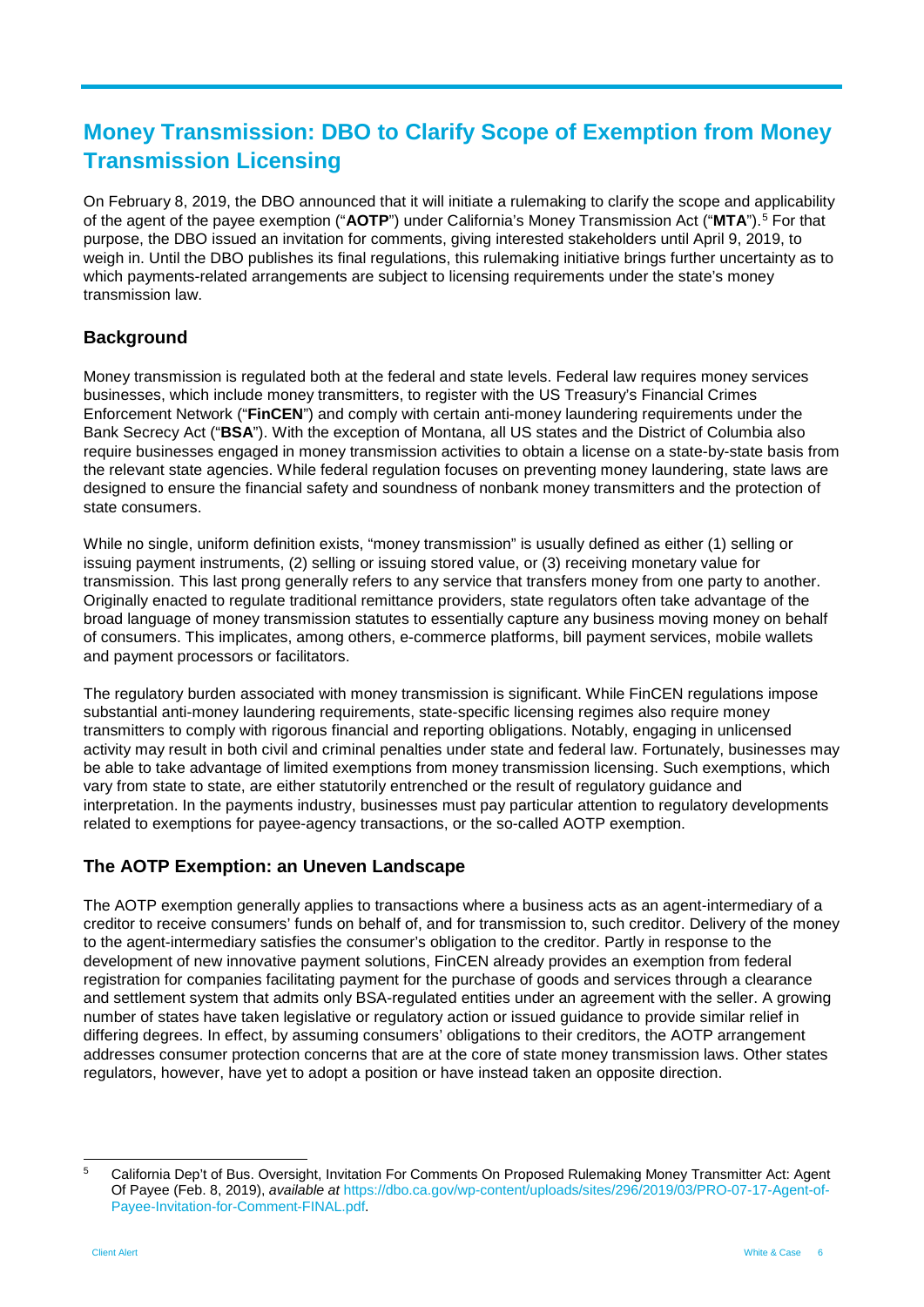## **Money Transmission: DBO to Clarify Scope of Exemption from Money Transmission Licensing**

On February 8, 2019, the DBO announced that it will initiate a rulemaking to clarify the scope and applicability of the agent of the payee exemption ("**AOTP**") under California's Money Transmission Act ("**MTA**").[5](#page-5-0) For that purpose, the DBO issued an invitation for comments, giving interested stakeholders until April 9, 2019, to weigh in. Until the DBO publishes its final regulations, this rulemaking initiative brings further uncertainty as to which payments-related arrangements are subject to licensing requirements under the state's money transmission law.

### **Background**

Money transmission is regulated both at the federal and state levels. Federal law requires money services businesses, which include money transmitters, to register with the US Treasury's Financial Crimes Enforcement Network ("**FinCEN**") and comply with certain anti-money laundering requirements under the Bank Secrecy Act ("**BSA**"). With the exception of Montana, all US states and the District of Columbia also require businesses engaged in money transmission activities to obtain a license on a state-by-state basis from the relevant state agencies. While federal regulation focuses on preventing money laundering, state laws are designed to ensure the financial safety and soundness of nonbank money transmitters and the protection of state consumers.

While no single, uniform definition exists, "money transmission" is usually defined as either (1) selling or issuing payment instruments, (2) selling or issuing stored value, or (3) receiving monetary value for transmission. This last prong generally refers to any service that transfers money from one party to another. Originally enacted to regulate traditional remittance providers, state regulators often take advantage of the broad language of money transmission statutes to essentially capture any business moving money on behalf of consumers. This implicates, among others, e-commerce platforms, bill payment services, mobile wallets and payment processors or facilitators.

The regulatory burden associated with money transmission is significant. While FinCEN regulations impose substantial anti-money laundering requirements, state-specific licensing regimes also require money transmitters to comply with rigorous financial and reporting obligations. Notably, engaging in unlicensed activity may result in both civil and criminal penalties under state and federal law. Fortunately, businesses may be able to take advantage of limited exemptions from money transmission licensing. Such exemptions, which vary from state to state, are either statutorily entrenched or the result of regulatory guidance and interpretation. In the payments industry, businesses must pay particular attention to regulatory developments related to exemptions for payee-agency transactions, or the so-called AOTP exemption.

#### **The AOTP Exemption: an Uneven Landscape**

The AOTP exemption generally applies to transactions where a business acts as an agent-intermediary of a creditor to receive consumers' funds on behalf of, and for transmission to, such creditor. Delivery of the money to the agent-intermediary satisfies the consumer's obligation to the creditor. Partly in response to the development of new innovative payment solutions, FinCEN already provides an exemption from federal registration for companies facilitating payment for the purchase of goods and services through a clearance and settlement system that admits only BSA-regulated entities under an agreement with the seller. A growing number of states have taken legislative or regulatory action or issued guidance to provide similar relief in differing degrees. In effect, by assuming consumers' obligations to their creditors, the AOTP arrangement addresses consumer protection concerns that are at the core of state money transmission laws. Other states regulators, however, have yet to adopt a position or have instead taken an opposite direction.

<span id="page-5-0"></span> <sup>5</sup> California Dep't of Bus. Oversight, Invitation For Comments On Proposed Rulemaking Money Transmitter Act: Agent Of Payee (Feb. 8, 2019), *available at* [https://dbo.ca.gov/wp-content/uploads/sites/296/2019/03/PRO-07-17-Agent-of-](https://dbo.ca.gov/wp-content/uploads/sites/296/2019/03/PRO-07-17-Agent-of-Payee-Invitation-for-Comment-FINAL.pdf)[Payee-Invitation-for-Comment-FINAL.pdf.](https://dbo.ca.gov/wp-content/uploads/sites/296/2019/03/PRO-07-17-Agent-of-Payee-Invitation-for-Comment-FINAL.pdf)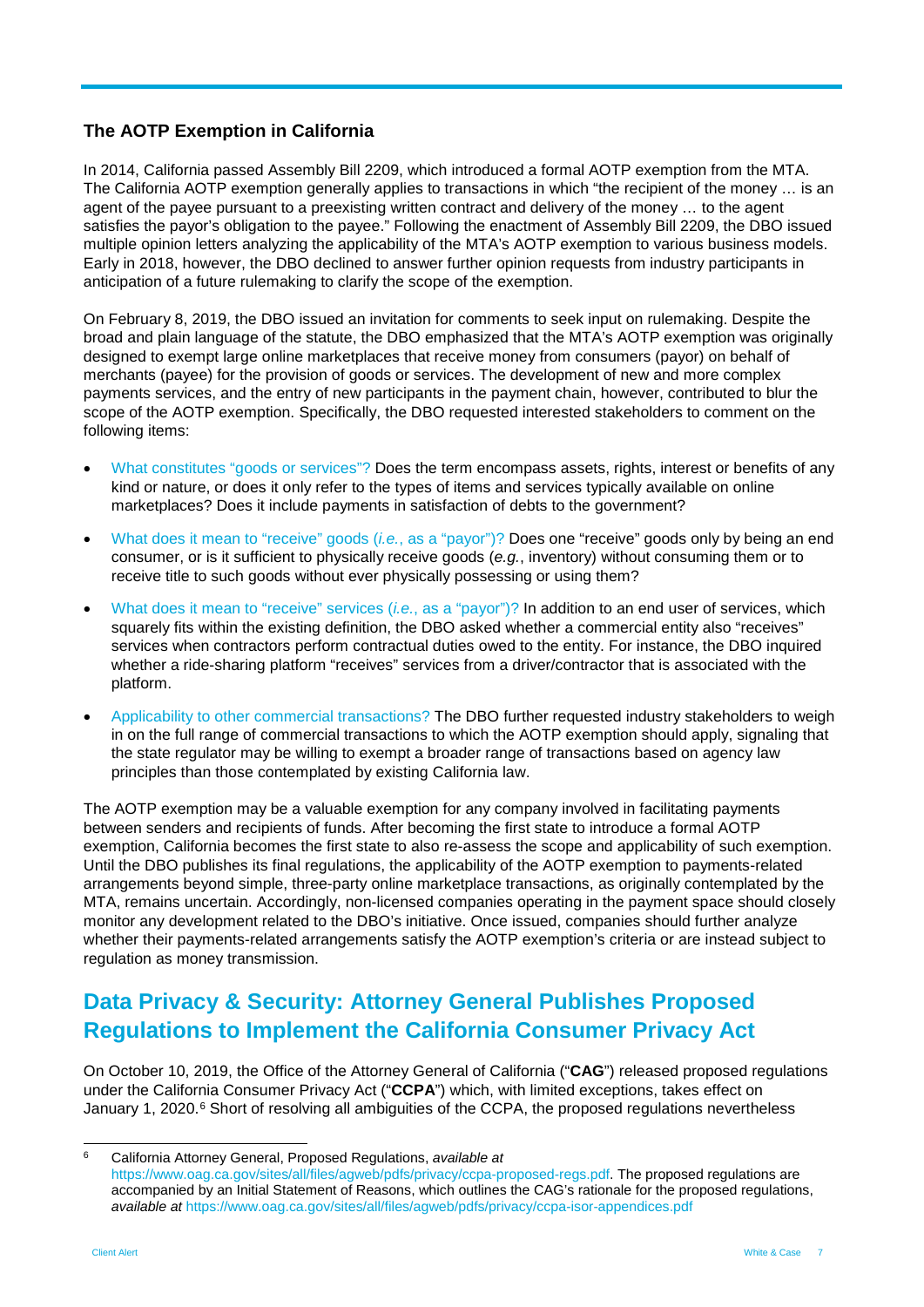#### **The AOTP Exemption in California**

In 2014, California passed Assembly Bill 2209, which introduced a formal AOTP exemption from the MTA. The California AOTP exemption generally applies to transactions in which "the recipient of the money … is an agent of the payee pursuant to a preexisting written contract and delivery of the money … to the agent satisfies the payor's obligation to the payee." Following the enactment of Assembly Bill 2209, the DBO issued multiple opinion letters analyzing the applicability of the MTA's AOTP exemption to various business models. Early in 2018, however, the DBO declined to answer further opinion requests from industry participants in anticipation of a future rulemaking to clarify the scope of the exemption.

On February 8, 2019, the DBO issued an invitation for comments to seek input on rulemaking. Despite the broad and plain language of the statute, the DBO emphasized that the MTA's AOTP exemption was originally designed to exempt large online marketplaces that receive money from consumers (payor) on behalf of merchants (payee) for the provision of goods or services. The development of new and more complex payments services, and the entry of new participants in the payment chain, however, contributed to blur the scope of the AOTP exemption. Specifically, the DBO requested interested stakeholders to comment on the following items:

- What constitutes "goods or services"? Does the term encompass assets, rights, interest or benefits of any kind or nature, or does it only refer to the types of items and services typically available on online marketplaces? Does it include payments in satisfaction of debts to the government?
- What does it mean to "receive" goods (*i.e.*, as a "payor")? Does one "receive" goods only by being an end consumer, or is it sufficient to physically receive goods (*e.g.*, inventory) without consuming them or to receive title to such goods without ever physically possessing or using them?
- What does it mean to "receive" services (*i.e.*, as a "payor")? In addition to an end user of services, which squarely fits within the existing definition, the DBO asked whether a commercial entity also "receives" services when contractors perform contractual duties owed to the entity. For instance, the DBO inquired whether a ride-sharing platform "receives" services from a driver/contractor that is associated with the platform.
- Applicability to other commercial transactions? The DBO further requested industry stakeholders to weigh in on the full range of commercial transactions to which the AOTP exemption should apply, signaling that the state regulator may be willing to exempt a broader range of transactions based on agency law principles than those contemplated by existing California law.

The AOTP exemption may be a valuable exemption for any company involved in facilitating payments between senders and recipients of funds. After becoming the first state to introduce a formal AOTP exemption, California becomes the first state to also re-assess the scope and applicability of such exemption. Until the DBO publishes its final regulations, the applicability of the AOTP exemption to payments-related arrangements beyond simple, three-party online marketplace transactions, as originally contemplated by the MTA, remains uncertain. Accordingly, non-licensed companies operating in the payment space should closely monitor any development related to the DBO's initiative. Once issued, companies should further analyze whether their payments-related arrangements satisfy the AOTP exemption's criteria or are instead subject to regulation as money transmission.

### **Data Privacy & Security: Attorney General Publishes Proposed Regulations to Implement the California Consumer Privacy Act**

On October 10, 2019, the Office of the Attorney General of California ("**CAG**") released proposed regulations under the California Consumer Privacy Act ("**CCPA**") which, with limited exceptions, takes effect on January 1, 2020.<sup>[6](#page-6-0)</sup> Short of resolving all ambiguities of the CCPA, the proposed regulations nevertheless

<span id="page-6-0"></span> <sup>6</sup> California Attorney General, Proposed Regulations, *available at* [https://www.oag.ca.gov/sites/all/files/agweb/pdfs/privacy/ccpa-proposed-regs.pdf.](https://www.oag.ca.gov/sites/all/files/agweb/pdfs/privacy/ccpa-proposed-regs.pdf) The proposed regulations are accompanied by an Initial Statement of Reasons, which outlines the CAG's rationale for the proposed regulations, *available at* <https://www.oag.ca.gov/sites/all/files/agweb/pdfs/privacy/ccpa-isor-appendices.pdf>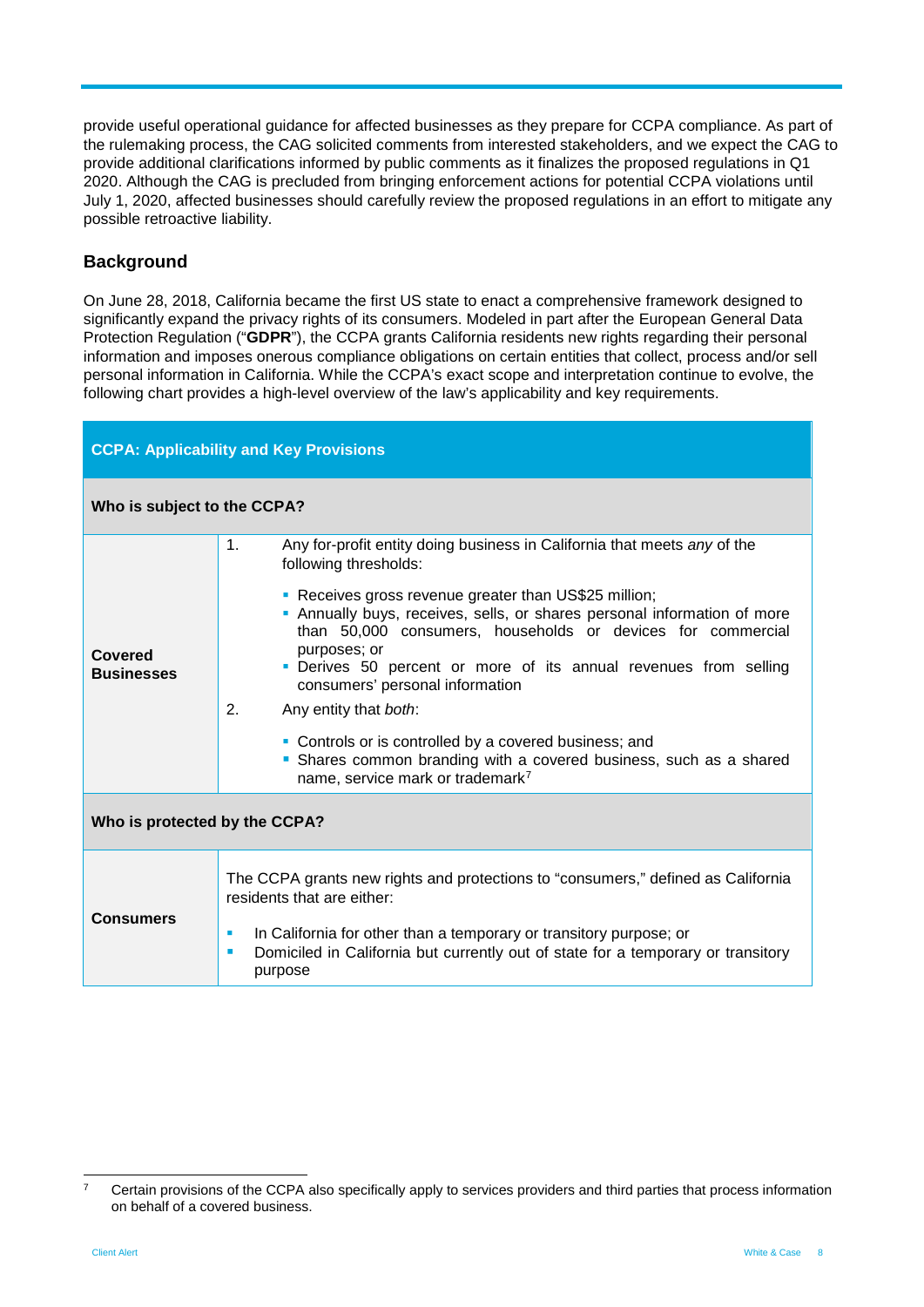provide useful operational guidance for affected businesses as they prepare for CCPA compliance. As part of the rulemaking process, the CAG solicited comments from interested stakeholders, and we expect the CAG to provide additional clarifications informed by public comments as it finalizes the proposed regulations in Q1 2020. Although the CAG is precluded from bringing enforcement actions for potential CCPA violations until July 1, 2020, affected businesses should carefully review the proposed regulations in an effort to mitigate any possible retroactive liability.

#### **Background**

On June 28, 2018, California became the first US state to enact a comprehensive framework designed to significantly expand the privacy rights of its consumers. Modeled in part after the European General Data Protection Regulation ("**GDPR**"), the CCPA grants California residents new rights regarding their personal information and imposes onerous compliance obligations on certain entities that collect, process and/or sell personal information in California. While the CCPA's exact scope and interpretation continue to evolve, the following chart provides a high-level overview of the law's applicability and key requirements.

| <b>CCPA: Applicability and Key Provisions</b> |                                                                                                                                                                                                                                                                                                                                                                                                                                                                                                                                                                                                                                                   |  |  |  |  |  |
|-----------------------------------------------|---------------------------------------------------------------------------------------------------------------------------------------------------------------------------------------------------------------------------------------------------------------------------------------------------------------------------------------------------------------------------------------------------------------------------------------------------------------------------------------------------------------------------------------------------------------------------------------------------------------------------------------------------|--|--|--|--|--|
| Who is subject to the CCPA?                   |                                                                                                                                                                                                                                                                                                                                                                                                                                                                                                                                                                                                                                                   |  |  |  |  |  |
| Covered<br><b>Businesses</b>                  | Any for-profit entity doing business in California that meets any of the<br>1.<br>following thresholds:<br>• Receives gross revenue greater than US\$25 million;<br>• Annually buys, receives, sells, or shares personal information of more<br>than 50,000 consumers, households or devices for commercial<br>purposes; or<br>• Derives 50 percent or more of its annual revenues from selling<br>consumers' personal information<br>2.<br>Any entity that both:<br>• Controls or is controlled by a covered business; and<br>• Shares common branding with a covered business, such as a shared<br>name, service mark or trademark <sup>7</sup> |  |  |  |  |  |
| Who is protected by the CCPA?                 |                                                                                                                                                                                                                                                                                                                                                                                                                                                                                                                                                                                                                                                   |  |  |  |  |  |
| <b>Consumers</b>                              | The CCPA grants new rights and protections to "consumers," defined as California<br>residents that are either:<br>In California for other than a temporary or transitory purpose; or<br>ш<br>Domiciled in California but currently out of state for a temporary or transitory<br>$\blacksquare$<br>purpose                                                                                                                                                                                                                                                                                                                                        |  |  |  |  |  |

<span id="page-7-0"></span><sup>&</sup>lt;sup>7</sup> Certain provisions of the CCPA also specifically apply to services providers and third parties that process information on behalf of a covered business.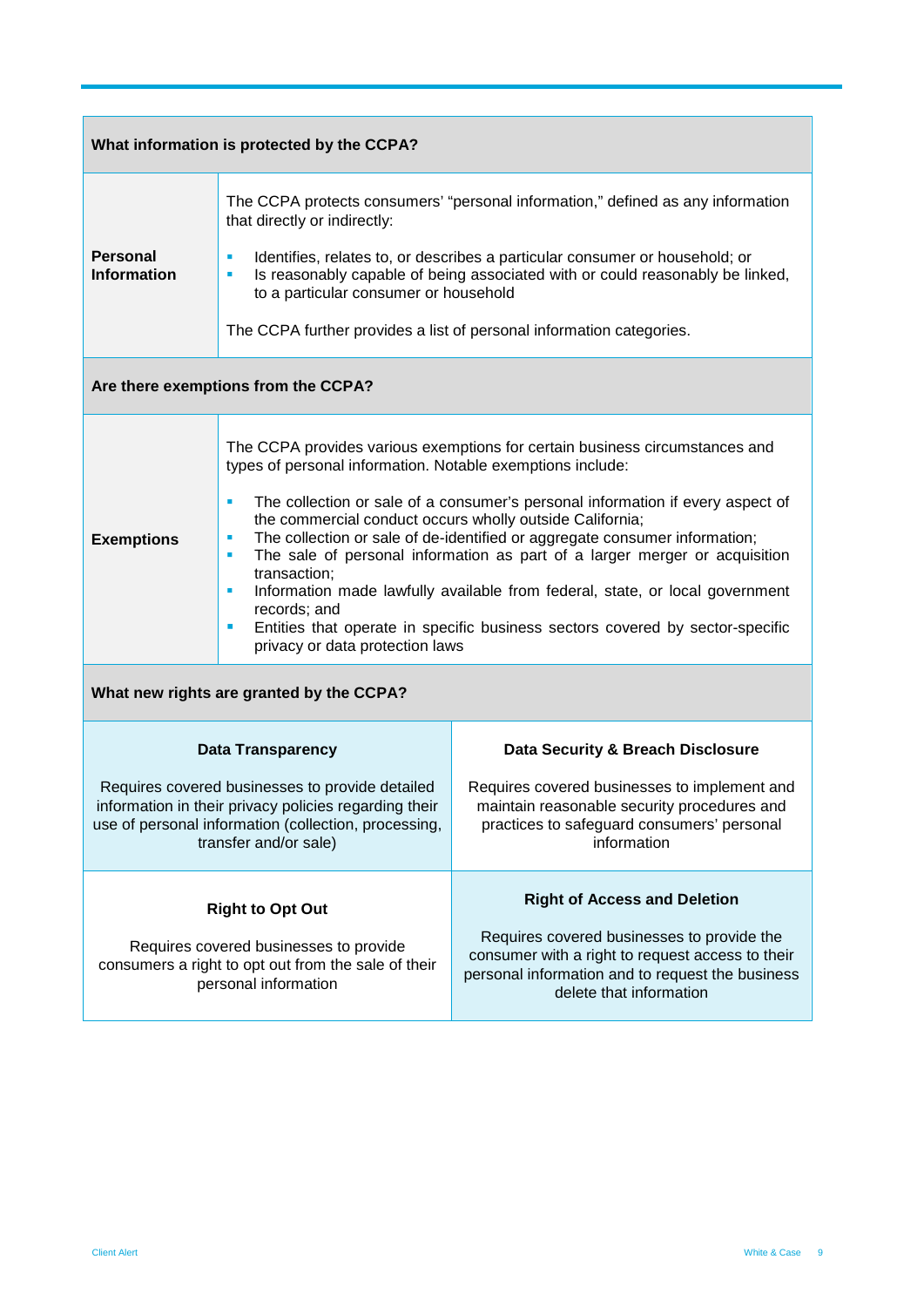| What information is protected by the CCPA?                                                                                                                                                |                                                                                                                                                                                                                                                                                                                                                                                                                                                                                                                                                                                                                                                                                                                  |                                                                                                                                                                                                                      |  |  |  |  |  |
|-------------------------------------------------------------------------------------------------------------------------------------------------------------------------------------------|------------------------------------------------------------------------------------------------------------------------------------------------------------------------------------------------------------------------------------------------------------------------------------------------------------------------------------------------------------------------------------------------------------------------------------------------------------------------------------------------------------------------------------------------------------------------------------------------------------------------------------------------------------------------------------------------------------------|----------------------------------------------------------------------------------------------------------------------------------------------------------------------------------------------------------------------|--|--|--|--|--|
| <b>Personal</b><br><b>Information</b>                                                                                                                                                     | The CCPA protects consumers' "personal information," defined as any information<br>that directly or indirectly:<br>Identifies, relates to, or describes a particular consumer or household; or<br>Is reasonably capable of being associated with or could reasonably be linked,<br>٠<br>to a particular consumer or household<br>The CCPA further provides a list of personal information categories.                                                                                                                                                                                                                                                                                                            |                                                                                                                                                                                                                      |  |  |  |  |  |
| Are there exemptions from the CCPA?                                                                                                                                                       |                                                                                                                                                                                                                                                                                                                                                                                                                                                                                                                                                                                                                                                                                                                  |                                                                                                                                                                                                                      |  |  |  |  |  |
| <b>Exemptions</b>                                                                                                                                                                         | The CCPA provides various exemptions for certain business circumstances and<br>types of personal information. Notable exemptions include:<br>The collection or sale of a consumer's personal information if every aspect of<br>ш<br>the commercial conduct occurs wholly outside California;<br>The collection or sale of de-identified or aggregate consumer information;<br>ш<br>The sale of personal information as part of a larger merger or acquisition<br>ш<br>transaction;<br>Information made lawfully available from federal, state, or local government<br>٠<br>records; and<br>Entities that operate in specific business sectors covered by sector-specific<br>п<br>privacy or data protection laws |                                                                                                                                                                                                                      |  |  |  |  |  |
|                                                                                                                                                                                           | What new rights are granted by the CCPA?                                                                                                                                                                                                                                                                                                                                                                                                                                                                                                                                                                                                                                                                         |                                                                                                                                                                                                                      |  |  |  |  |  |
|                                                                                                                                                                                           | <b>Data Transparency</b>                                                                                                                                                                                                                                                                                                                                                                                                                                                                                                                                                                                                                                                                                         | Data Security & Breach Disclosure                                                                                                                                                                                    |  |  |  |  |  |
| Requires covered businesses to provide detailed<br>information in their privacy policies regarding their<br>use of personal information (collection, processing,<br>transfer and/or sale) |                                                                                                                                                                                                                                                                                                                                                                                                                                                                                                                                                                                                                                                                                                                  | Requires covered businesses to implement and<br>maintain reasonable security procedures and<br>practices to safeguard consumers' personal<br>information                                                             |  |  |  |  |  |
| <b>Right to Opt Out</b><br>Requires covered businesses to provide<br>consumers a right to opt out from the sale of their<br>personal information                                          |                                                                                                                                                                                                                                                                                                                                                                                                                                                                                                                                                                                                                                                                                                                  | <b>Right of Access and Deletion</b><br>Requires covered businesses to provide the<br>consumer with a right to request access to their<br>personal information and to request the business<br>delete that information |  |  |  |  |  |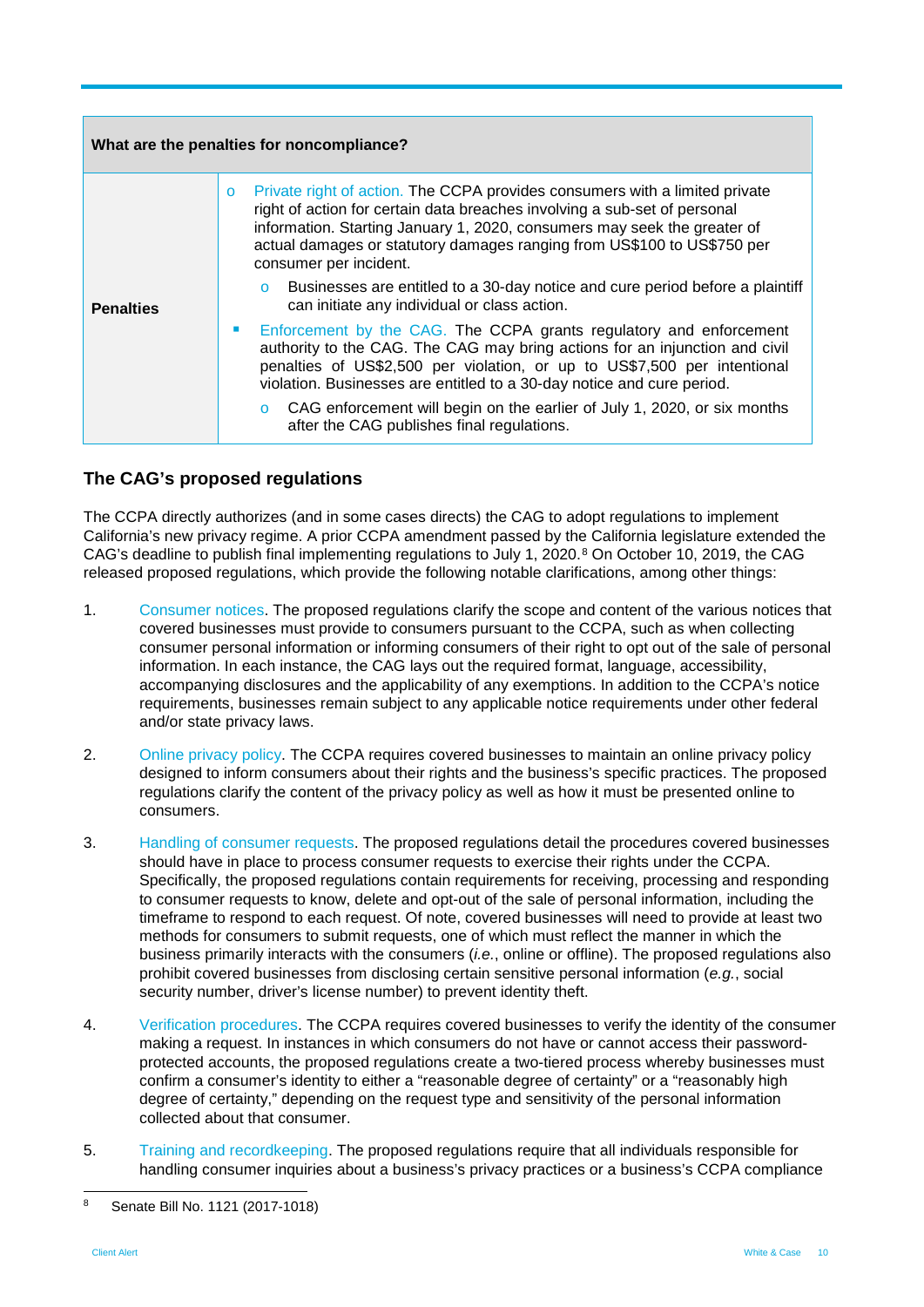| What are the penalties for noncompliance? |                                                                                                                                                                                                                                                                                                                                                                                                                                   |  |  |  |  |  |
|-------------------------------------------|-----------------------------------------------------------------------------------------------------------------------------------------------------------------------------------------------------------------------------------------------------------------------------------------------------------------------------------------------------------------------------------------------------------------------------------|--|--|--|--|--|
|                                           | Private right of action. The CCPA provides consumers with a limited private<br>$\circ$<br>right of action for certain data breaches involving a sub-set of personal<br>information. Starting January 1, 2020, consumers may seek the greater of<br>actual damages or statutory damages ranging from US\$100 to US\$750 per<br>consumer per incident.                                                                              |  |  |  |  |  |
| <b>Penalties</b>                          | Businesses are entitled to a 30-day notice and cure period before a plaintiff<br>can initiate any individual or class action.                                                                                                                                                                                                                                                                                                     |  |  |  |  |  |
|                                           | Enforcement by the CAG. The CCPA grants regulatory and enforcement<br>authority to the CAG. The CAG may bring actions for an injunction and civil<br>penalties of US\$2,500 per violation, or up to US\$7,500 per intentional<br>violation. Businesses are entitled to a 30-day notice and cure period.<br>CAG enforcement will begin on the earlier of July 1, 2020, or six months<br>after the CAG publishes final regulations. |  |  |  |  |  |

#### **The CAG's proposed regulations**

The CCPA directly authorizes (and in some cases directs) the CAG to adopt regulations to implement California's new privacy regime. A prior CCPA amendment passed by the California legislature extended the CAG's deadline to publish final implementing regulations to July 1, 2020.<sup>[8](#page-9-0)</sup> On October 10, 2019, the CAG released proposed regulations, which provide the following notable clarifications, among other things:

- 1. Consumer notices. The proposed regulations clarify the scope and content of the various notices that covered businesses must provide to consumers pursuant to the CCPA, such as when collecting consumer personal information or informing consumers of their right to opt out of the sale of personal information. In each instance, the CAG lays out the required format, language, accessibility, accompanying disclosures and the applicability of any exemptions. In addition to the CCPA's notice requirements, businesses remain subject to any applicable notice requirements under other federal and/or state privacy laws.
- 2. Online privacy policy. The CCPA requires covered businesses to maintain an online privacy policy designed to inform consumers about their rights and the business's specific practices. The proposed regulations clarify the content of the privacy policy as well as how it must be presented online to consumers.
- 3. Handling of consumer requests. The proposed regulations detail the procedures covered businesses should have in place to process consumer requests to exercise their rights under the CCPA. Specifically, the proposed regulations contain requirements for receiving, processing and responding to consumer requests to know, delete and opt-out of the sale of personal information, including the timeframe to respond to each request. Of note, covered businesses will need to provide at least two methods for consumers to submit requests, one of which must reflect the manner in which the business primarily interacts with the consumers (*i.e.*, online or offline). The proposed regulations also prohibit covered businesses from disclosing certain sensitive personal information (*e.g.*, social security number, driver's license number) to prevent identity theft.
- 4. Verification procedures. The CCPA requires covered businesses to verify the identity of the consumer making a request. In instances in which consumers do not have or cannot access their passwordprotected accounts, the proposed regulations create a two-tiered process whereby businesses must confirm a consumer's identity to either a "reasonable degree of certainty" or a "reasonably high degree of certainty," depending on the request type and sensitivity of the personal information collected about that consumer.
- 5. Training and recordkeeping. The proposed regulations require that all individuals responsible for handling consumer inquiries about a business's privacy practices or a business's CCPA compliance

<span id="page-9-0"></span> <sup>8</sup> Senate Bill No. 1121 (2017-1018)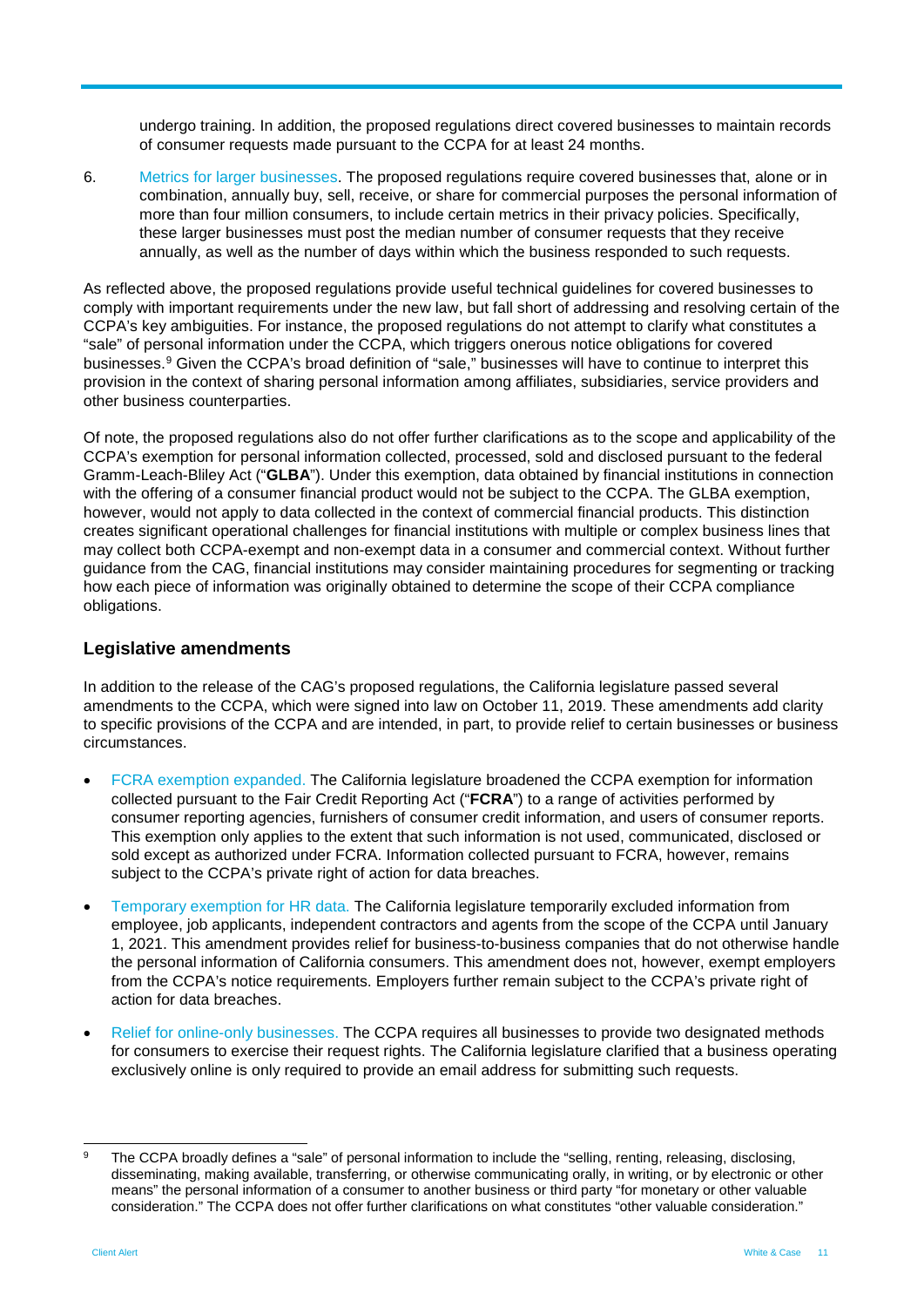undergo training. In addition, the proposed regulations direct covered businesses to maintain records of consumer requests made pursuant to the CCPA for at least 24 months.

6. Metrics for larger businesses. The proposed regulations require covered businesses that, alone or in combination, annually buy, sell, receive, or share for commercial purposes the personal information of more than four million consumers, to include certain metrics in their privacy policies. Specifically, these larger businesses must post the median number of consumer requests that they receive annually, as well as the number of days within which the business responded to such requests.

As reflected above, the proposed regulations provide useful technical guidelines for covered businesses to comply with important requirements under the new law, but fall short of addressing and resolving certain of the CCPA's key ambiguities. For instance, the proposed regulations do not attempt to clarify what constitutes a "sale" of personal information under the CCPA, which triggers onerous notice obligations for covered businesses.[9](#page-10-0) Given the CCPA's broad definition of "sale," businesses will have to continue to interpret this provision in the context of sharing personal information among affiliates, subsidiaries, service providers and other business counterparties.

Of note, the proposed regulations also do not offer further clarifications as to the scope and applicability of the CCPA's exemption for personal information collected, processed, sold and disclosed pursuant to the federal Gramm-Leach-Bliley Act ("**GLBA**"). Under this exemption, data obtained by financial institutions in connection with the offering of a consumer financial product would not be subject to the CCPA. The GLBA exemption, however, would not apply to data collected in the context of commercial financial products. This distinction creates significant operational challenges for financial institutions with multiple or complex business lines that may collect both CCPA-exempt and non-exempt data in a consumer and commercial context. Without further guidance from the CAG, financial institutions may consider maintaining procedures for segmenting or tracking how each piece of information was originally obtained to determine the scope of their CCPA compliance obligations.

#### **Legislative amendments**

In addition to the release of the CAG's proposed regulations, the California legislature passed several amendments to the CCPA, which were signed into law on October 11, 2019. These amendments add clarity to specific provisions of the CCPA and are intended, in part, to provide relief to certain businesses or business circumstances.

- FCRA exemption expanded. The California legislature broadened the CCPA exemption for information collected pursuant to the Fair Credit Reporting Act ("**FCRA**") to a range of activities performed by consumer reporting agencies, furnishers of consumer credit information, and users of consumer reports. This exemption only applies to the extent that such information is not used, communicated, disclosed or sold except as authorized under FCRA. Information collected pursuant to FCRA, however, remains subject to the CCPA's private right of action for data breaches.
- Temporary exemption for HR data. The California legislature temporarily excluded information from employee, job applicants, independent contractors and agents from the scope of the CCPA until January 1, 2021. This amendment provides relief for business-to-business companies that do not otherwise handle the personal information of California consumers. This amendment does not, however, exempt employers from the CCPA's notice requirements. Employers further remain subject to the CCPA's private right of action for data breaches.
- Relief for online-only businesses. The CCPA requires all businesses to provide two designated methods for consumers to exercise their request rights. The California legislature clarified that a business operating exclusively online is only required to provide an email address for submitting such requests.

<span id="page-10-0"></span>The CCPA broadly defines a "sale" of personal information to include the "selling, renting, releasing, disclosing, disseminating, making available, transferring, or otherwise communicating orally, in writing, or by electronic or other means" the personal information of a consumer to another business or third party "for monetary or other valuable consideration." The CCPA does not offer further clarifications on what constitutes "other valuable consideration."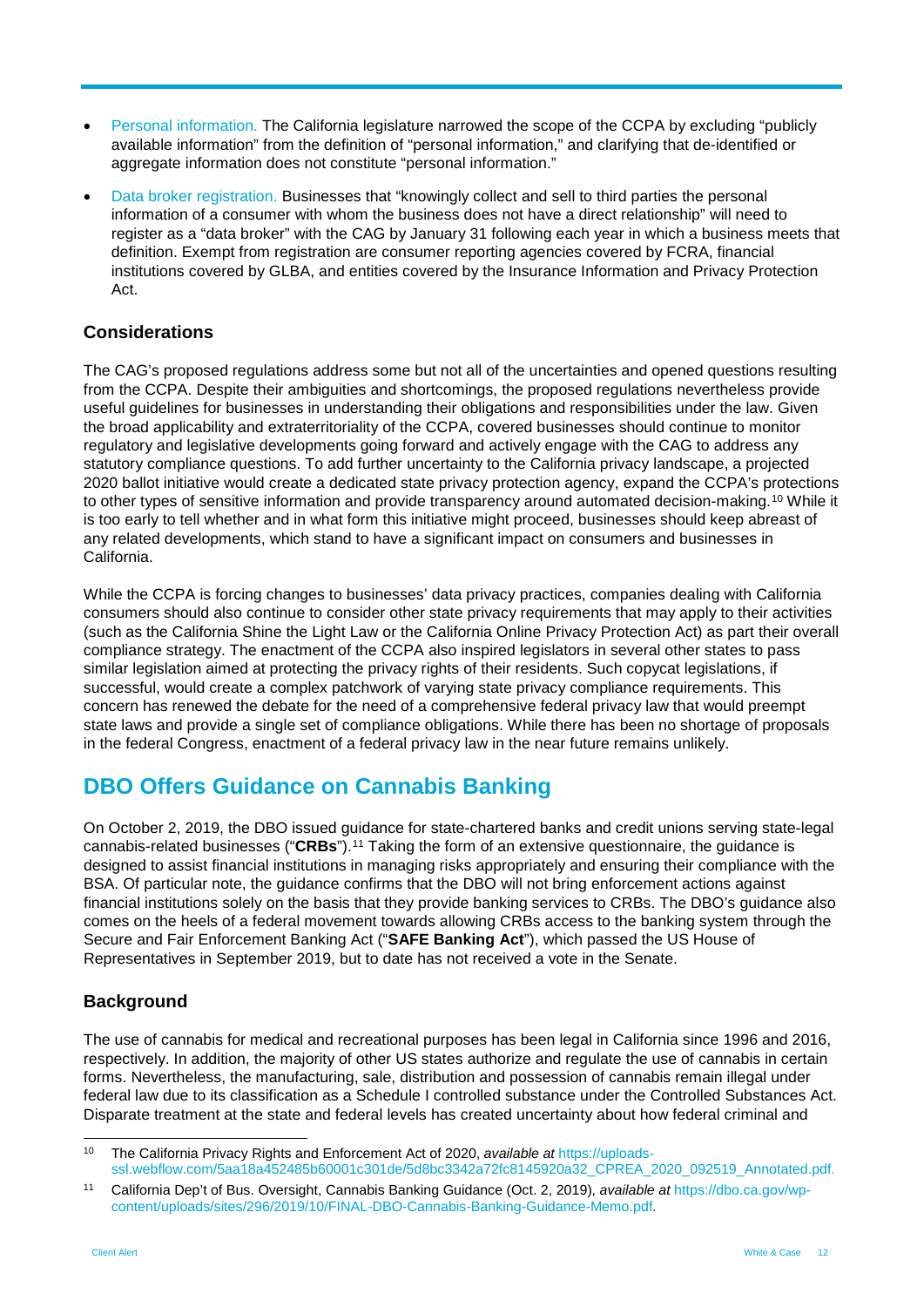- Personal information. The California legislature narrowed the scope of the CCPA by excluding "publicly available information" from the definition of "personal information," and clarifying that de-identified or aggregate information does not constitute "personal information."
- Data broker registration. Businesses that "knowingly collect and sell to third parties the personal information of a consumer with whom the business does not have a direct relationship" will need to register as a "data broker" with the CAG by January 31 following each year in which a business meets that definition. Exempt from registration are consumer reporting agencies covered by FCRA, financial institutions covered by GLBA, and entities covered by the Insurance Information and Privacy Protection Act.

#### **Considerations**

The CAG's proposed regulations address some but not all of the uncertainties and opened questions resulting from the CCPA. Despite their ambiguities and shortcomings, the proposed regulations nevertheless provide useful guidelines for businesses in understanding their obligations and responsibilities under the law. Given the broad applicability and extraterritoriality of the CCPA, covered businesses should continue to monitor regulatory and legislative developments going forward and actively engage with the CAG to address any statutory compliance questions. To add further uncertainty to the California privacy landscape, a projected 2020 ballot initiative would create a dedicated state privacy protection agency, expand the CCPA's protections to other types of sensitive information and provide transparency around automated decision-making.[10](#page-11-0) While it is too early to tell whether and in what form this initiative might proceed, businesses should keep abreast of any related developments, which stand to have a significant impact on consumers and businesses in California.

While the CCPA is forcing changes to businesses' data privacy practices, companies dealing with California consumers should also continue to consider other state privacy requirements that may apply to their activities (such as the California Shine the Light Law or the California Online Privacy Protection Act) as part their overall compliance strategy. The enactment of the CCPA also inspired legislators in several other states to pass similar legislation aimed at protecting the privacy rights of their residents. Such copycat legislations, if successful, would create a complex patchwork of varying state privacy compliance requirements. This concern has renewed the debate for the need of a comprehensive federal privacy law that would preempt state laws and provide a single set of compliance obligations. While there has been no shortage of proposals in the federal Congress, enactment of a federal privacy law in the near future remains unlikely.

### **DBO Offers Guidance on Cannabis Banking**

On October 2, 2019, the DBO issued guidance for state-chartered banks and credit unions serving state-legal cannabis-related businesses ("**CRBs**").[11](#page-11-1) Taking the form of an extensive questionnaire, the guidance is designed to assist financial institutions in managing risks appropriately and ensuring their compliance with the BSA. Of particular note, the guidance confirms that the DBO will not bring enforcement actions against financial institutions solely on the basis that they provide banking services to CRBs. The DBO's guidance also comes on the heels of a federal movement towards allowing CRBs access to the banking system through the Secure and Fair Enforcement Banking Act ("**SAFE Banking Act**"), which passed the US House of Representatives in September 2019, but to date has not received a vote in the Senate.

#### **Background**

The use of cannabis for medical and recreational purposes has been legal in California since 1996 and 2016, respectively. In addition, the majority of other US states authorize and regulate the use of cannabis in certain forms. Nevertheless, the manufacturing, sale, distribution and possession of cannabis remain illegal under federal law due to its classification as a Schedule I controlled substance under the Controlled Substances Act. Disparate treatment at the state and federal levels has created uncertainty about how federal criminal and

<span id="page-11-0"></span> <sup>10</sup> The California Privacy Rights and Enforcement Act of 2020, *available at* [https://uploads](https://uploads-ssl.webflow.com/5aa18a452485b60001c301de/5d8bc3342a72fc8145920a32_CPREA_2020_092519_Annotated.pdf)[ssl.webflow.com/5aa18a452485b60001c301de/5d8bc3342a72fc8145920a32\\_CPREA\\_2020\\_092519\\_Annotated.pdf.](https://uploads-ssl.webflow.com/5aa18a452485b60001c301de/5d8bc3342a72fc8145920a32_CPREA_2020_092519_Annotated.pdf)

<span id="page-11-1"></span><sup>11</sup> California Dep't of Bus. Oversight, Cannabis Banking Guidance (Oct. 2, 2019), *available at* [https://dbo.ca.gov/wp](https://dbo.ca.gov/wp-content/uploads/sites/296/2019/10/FINAL-DBO-Cannabis-Banking-Guidance-Memo.pdf)[content/uploads/sites/296/2019/10/FINAL-DBO-Cannabis-Banking-Guidance-Memo.pdf.](https://dbo.ca.gov/wp-content/uploads/sites/296/2019/10/FINAL-DBO-Cannabis-Banking-Guidance-Memo.pdf)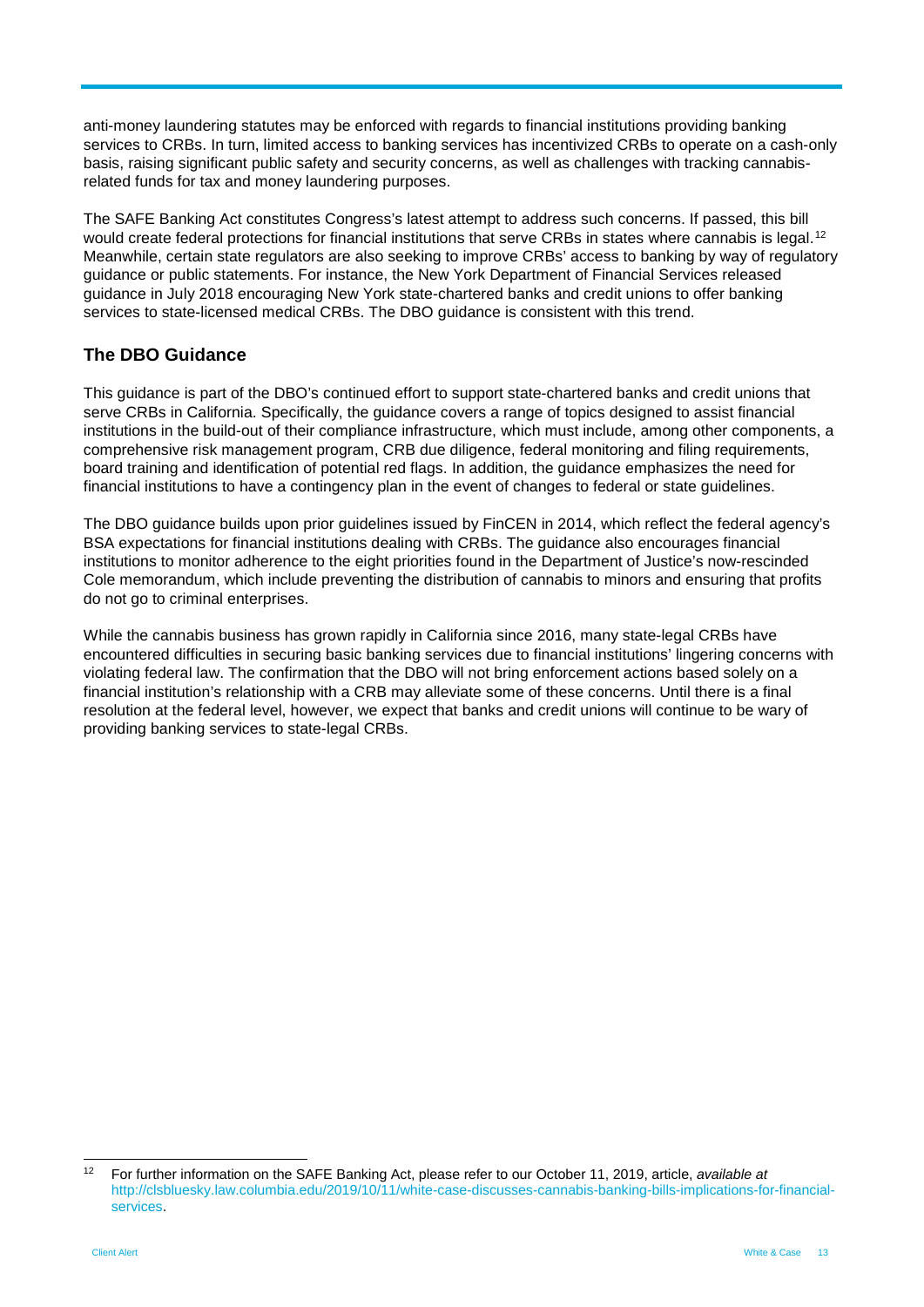anti-money laundering statutes may be enforced with regards to financial institutions providing banking services to CRBs. In turn, limited access to banking services has incentivized CRBs to operate on a cash-only basis, raising significant public safety and security concerns, as well as challenges with tracking cannabisrelated funds for tax and money laundering purposes.

The SAFE Banking Act constitutes Congress's latest attempt to address such concerns. If passed, this bill would create federal protections for financial institutions that serve CRBs in states where cannabis is legal.<sup>[12](#page-12-0)</sup> Meanwhile, certain state regulators are also seeking to improve CRBs' access to banking by way of regulatory guidance or public statements. For instance, the New York Department of Financial Services released guidance in July 2018 encouraging New York state-chartered banks and credit unions to offer banking services to state-licensed medical CRBs. The DBO guidance is consistent with this trend.

#### **The DBO Guidance**

This guidance is part of the DBO's continued effort to support state-chartered banks and credit unions that serve CRBs in California. Specifically, the guidance covers a range of topics designed to assist financial institutions in the build-out of their compliance infrastructure, which must include, among other components, a comprehensive risk management program, CRB due diligence, federal monitoring and filing requirements, board training and identification of potential red flags. In addition, the guidance emphasizes the need for financial institutions to have a contingency plan in the event of changes to federal or state guidelines.

The DBO guidance builds upon prior guidelines issued by FinCEN in 2014, which reflect the federal agency's BSA expectations for financial institutions dealing with CRBs. The guidance also encourages financial institutions to monitor adherence to the eight priorities found in the Department of Justice's now-rescinded Cole memorandum, which include preventing the distribution of cannabis to minors and ensuring that profits do not go to criminal enterprises.

While the cannabis business has grown rapidly in California since 2016, many state-legal CRBs have encountered difficulties in securing basic banking services due to financial institutions' lingering concerns with violating federal law. The confirmation that the DBO will not bring enforcement actions based solely on a financial institution's relationship with a CRB may alleviate some of these concerns. Until there is a final resolution at the federal level, however, we expect that banks and credit unions will continue to be wary of providing banking services to state-legal CRBs.

<span id="page-12-0"></span> <sup>12</sup> For further information on the SAFE Banking Act, please refer to our October 11, 2019, article, *available at*  [http://clsbluesky.law.columbia.edu/2019/10/11/white-case-discusses-cannabis-banking-bills-implications-for-financial](http://clsbluesky.law.columbia.edu/2019/10/11/white-case-discusses-cannabis-banking-bills-implications-for-financial-services/)[services.](http://clsbluesky.law.columbia.edu/2019/10/11/white-case-discusses-cannabis-banking-bills-implications-for-financial-services/)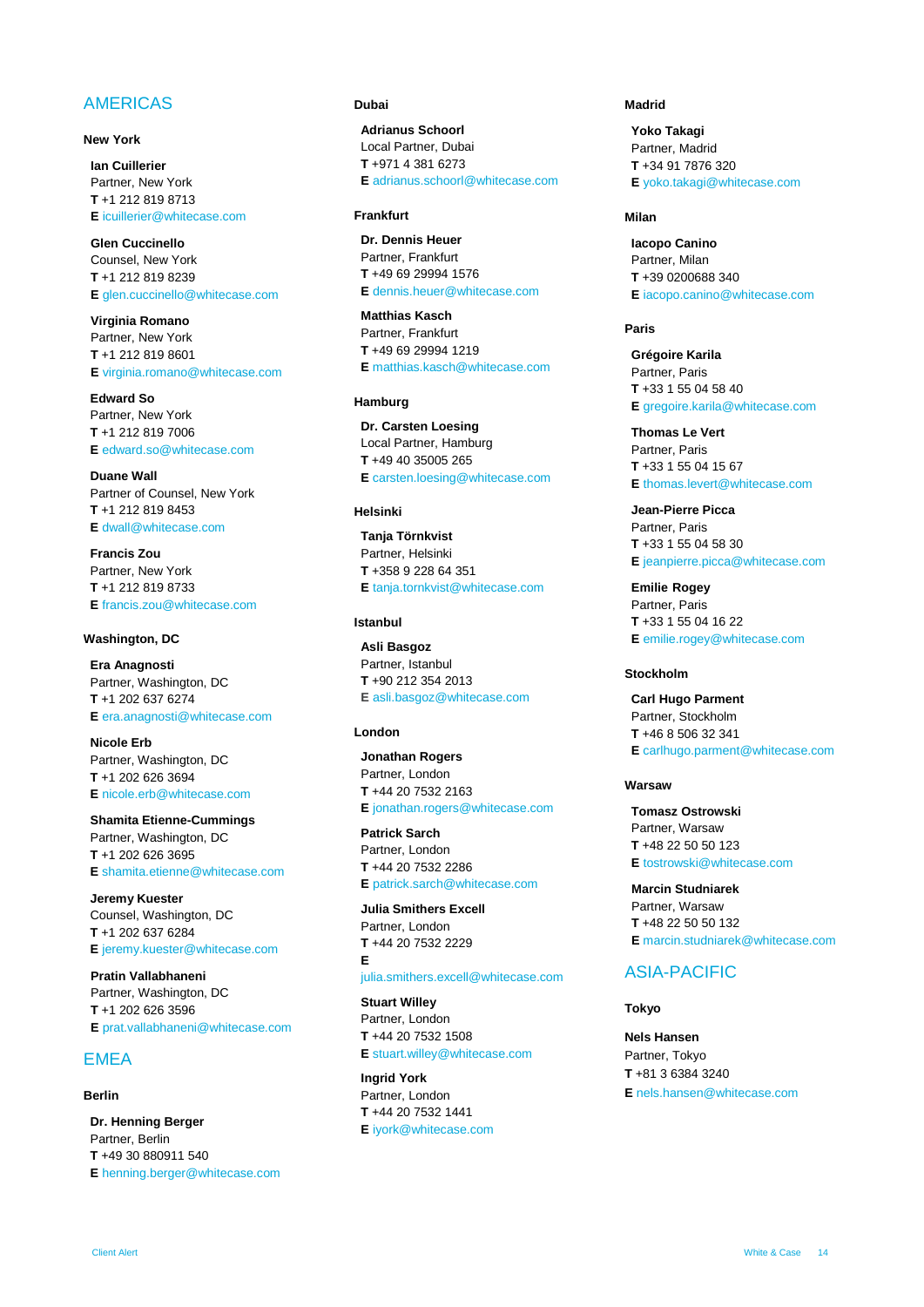#### AMERICAS

#### **New York**

**Ian [Cuillerier](https://www.whitecase.com/people/ian-cuillerier)** Partner, New York **T** +1 212 819 8713 **E** [icuillerier@whitecase.com](mailto:icuillerier@whitecase.com)

**[Glen Cuccinello](https://www.whitecase.com/people/glen-cuccinello)** Counsel, New York **T** +1 212 819 8239 **E** [glen.cuccinello@whitecase.com](mailto:gcuccinello@whitecase.com)

**[Virginia Romano](https://www.whitecase.com/people/virginia-chavez-romano)** Partner, New York **T** +1 212 819 8601 **E** [virginia.romano@whitecase.com](mailto:virginia.romano@whitecase.com)

**[Edward So](https://www.whitecase.com/people/edward-so)** Partner, New York **T** +1 212 819 7006 **E** [edward.so@whitecase.com](mailto:edward.so@whitecase.com)

**[Duane Wall](https://www.whitecase.com/people/duane-wall)** Partner of Counsel, New York **T** +1 212 819 8453 **E** [dwall@whitecase.com](mailto:dwall@whitecase.com)

**[Francis Zou](https://www.whitecase.com/people/francis-zou)** Partner, New York **T** +1 212 819 8733 **E** [francis.zou@whitecase.com](mailto:francis.zou@whitecase.com)

#### **Washington, DC**

**[Era Anagnosti](https://www.whitecase.com/people/era-anagnosti)** Partner, Washington, DC **T** +1 202 637 6274 **E** [era.anagnosti@whitecase.com](mailto:era.anagnosti@whitecase.com)

**[Nicole Erb](https://www.whitecase.com/people/nicole-erb)** Partner, Washington, DC **T** +1 202 626 3694 **E** [nicole.erb@whitecase.com](mailto:nerb@whitecase.com)

**[Shamita Etienne-Cummings](https://www.whitecase.com/people/shamita-etienne-cummings)** Partner, Washington, DC **T** +1 202 626 3695 **E** [shamita.etienne@whitecase.com](mailto:setienne@whitecase.com)

**[Jeremy Kuester](https://www.whitecase.com/people/jeremy-kuester)** Counsel, Washington, DC **T** +1 202 637 6284 **E** [jeremy.kuester@whitecase.com](mailto:jeremy.kuester@whitecase.com)

**[Pratin Vallabhaneni](https://www.whitecase.com/people/pratin-vallabhaneni)** Partner, Washington, DC **T** +1 202 626 3596 **E** [prat.vallabhaneni@whitecase.com](mailto:prat.vallabhaneni@whitecase.com)

#### EMEA

#### **Berlin**

**[Dr. Henning Berger](https://www.whitecase.com/people/henning-berger)** Partner, Berlin **T** +49 30 880911 540 **E** [henning.berger@whitecase.com](mailto:henning.berger@whitecase.com)

#### **Dubai**

**[Adrianus Schoorl](https://www.whitecase.com/people/adrianus-schoorl)** Local Partner, Dubai **T** +971 4 381 6273 **E** [adrianus.schoorl@whitecase.com](mailto:adrianus.schoorl@whitecase.com)

#### **Frankfurt**

**[Dr. Dennis Heuer](https://www.whitecase.com/people/dennis-heuer)** Partner, Frankfurt **T** +49 69 29994 1576 **E** [dennis.heuer@whitecase.com](mailto:dheuer@whitecase.com)

**[Matthias Kasch](https://www.whitecase.com/people/matthias-kasch?s=kasch)** Partner, Frankfurt **T** +49 69 29994 1219 **E** [matthias.kasch@whitecase.com](mailto:mkasch@whitecase.com)

#### **Hamburg**

**Dr. [Carsten Loesing](https://www.whitecase.com/people/carsten-losing?s=loesing)** Local Partner, Hamburg **T** +49 40 35005 265 **E** [carsten.loesing@whitecase.com](mailto:carsten.loesing@whitecase.com)

#### **Helsinki**

**[Tanja Törnkvist](https://www.whitecase.com/people/tanja-tornkvist)** Partner, Helsinki **T** +358 9 228 64 351 **E** [tanja.tornkvist@whitecase.com](mailto:ttornkvist@whitecase.com)

#### **Istanbul**

**[Asli](https://www.whitecase.com/people/asli-basgoz) [Basgoz](https://www.whitecase.com/people/asli-basgoz)** Partner, Istanbul **T** +90 212 354 2013 **E** [asli.basgoz@whitecase.com](mailto:abasgoz@whitecase.com)

#### **London**

**[Jonathan Rogers](https://www.whitecase.com/people/jonathan-rogers)** Partner, London **T** +44 20 7532 2163 **E** [jonathan.rogers@whitecase.com](mailto:jonathan.rogers@whitecase.com)

**[Patrick Sarch](https://www.whitecase.com/people/patrick-sarch)** Partner, London **T** +44 20 7532 2286 **E** [patrick.sarch@whitecase.com](mailto:patrick.sarch@whitecase.com)

**[Julia Smithers Excell](https://www.whitecase.com/people/julia-smithers-excell)** Partner, London **T** +44 20 7532 2229 **E**

[julia.smithers.excell@whitecase.com](mailto:julia.smithers.excell@whitecase.com)

**[Stuart Willey](https://www.whitecase.com/people/stuart-willey)** Partner, London **T** +44 20 7532 1508 **E** [stuart.willey@whitecase.com](mailto:swilley@whitecase.com)

**[Ingrid York](https://www.whitecase.com/people/ingrid-york)** Partner, London **T** +44 20 7532 1441 **E** [iyork@whitecase.com](mailto:iyork@whitecase.com)

#### **Madrid**

**[Yoko Takagi](https://www.whitecase.com/people/yoko-takagi)** Partner, Madrid **T** +34 91 7876 320 **E** [yoko.takagi@whitecase.com](mailto:yoko.takagi@whitecase.com)

#### **Milan**

**[Iacopo](https://www.whitecase.com/people/iacopo-canino) [Canino](https://www.whitecase.com/people/iacopo-canino)** Partner, Milan **T** +39 0200688 340 **E** [iacopo.canino@whitecase.com](mailto:icanino@whitecase.com)

#### **Paris**

**[Grégoire](https://www.whitecase.com/people/gregoire-karila) [Karila](https://www.whitecase.com/people/gregoire-karila)** Partner, Paris **T** +33 1 55 04 58 40 **E** [gregoire.karila@whitecase.com](mailto:gkarila@whitecase.com)

**[Thomas Le Vert](https://www.whitecase.com/people/thomas-le-vert)** Partner, Paris **T** +33 1 55 04 15 67 **E** [thomas.levert@whitecase.com](mailto:tlevert@whitecase.com)

**[Jean-Pierre Picca](https://www.whitecase.com/people/jean-pierre-picca)** Partner, Paris **T** +33 1 55 04 58 30 **E** [jeanpierre.picca@whitecase.com](mailto:jeanpierre.picca@whitecase.com)

**[Emilie](https://www.whitecase.com/people/jean-pierre-picca) Rogey** Partner, Paris **T** +33 1 55 04 16 22 **E** [emilie.rogey@whitecase.com](mailto:emilie.rogey@whitecase.com)

#### **Stockholm**

**[Carl Hugo Parment](https://www.whitecase.com/people/carl-hugo-parment)** Partner, Stockholm **T** +46 8 506 32 341 **E** [carlhugo.parment@whitecase.com](mailto:carlhugo.parment@whitecase.com)

#### **Warsaw**

**[Tomasz Ostrowski](https://www.whitecase.com/people/tomasz-ostrowski)** Partner, Warsaw **T** +48 22 50 50 123 **E** [tostrowski@whitecase.com](mailto:tostrowski@whitecase.com)

**[Marcin Studniarek](https://www.whitecase.com/people/marcin-studniarek)** Partner, Warsaw **T** +48 22 50 50 132 **E** [marcin.studniarek@whitecase.com](mailto:mstudniarek@whitecase.com)

#### ASIA-PACIFIC

#### **Tokyo**

**[Nels Hansen](https://www.whitecase.com/people/nels-hansen)** Partner, Tokyo **T** +81 3 6384 3240 **E** [nels.hansen@whitecase.com](mailto:nels.hansen@whitecase.com)